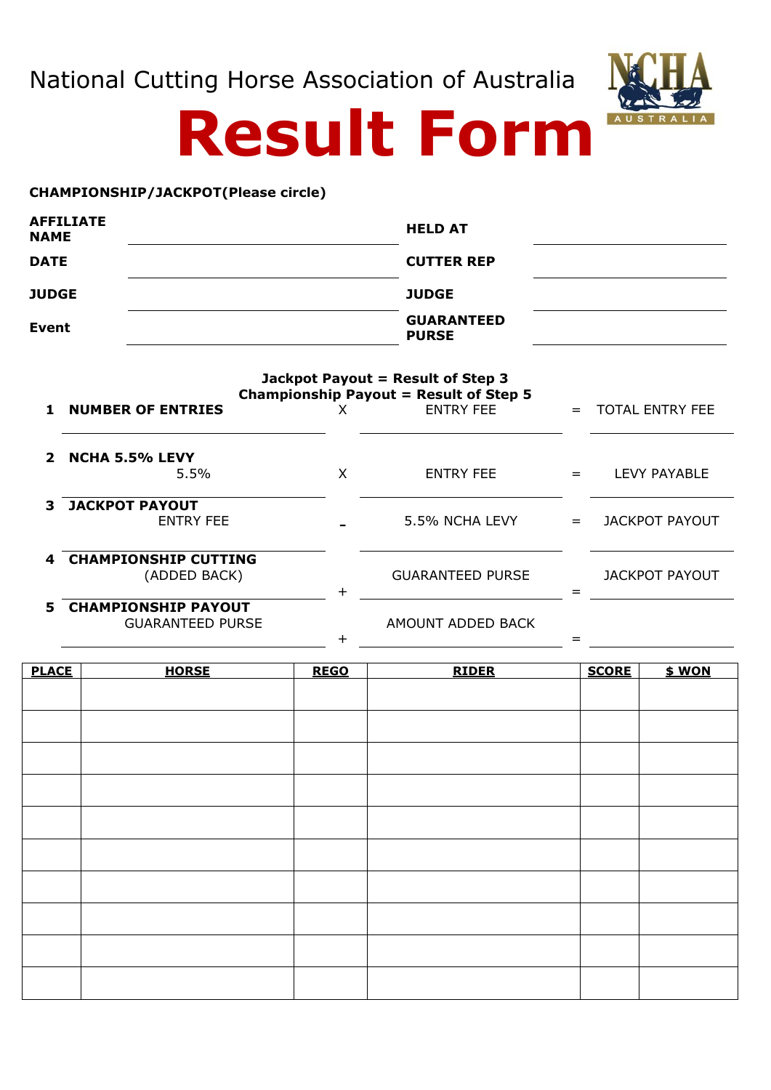National Cutting Horse Association of Australia



## **Result Form**

## **CHAMPIONSHIP/JACKPOT(Please circle)**

| <b>AFFILIATE</b><br><b>NAME</b> | <b>HELD AT</b>                    |  |
|---------------------------------|-----------------------------------|--|
| <b>DATE</b>                     | <b>CUTTER REP</b>                 |  |
| <b>JUDGE</b>                    | <b>JUDGE</b>                      |  |
| Event                           | <b>GUARANTEED</b><br><b>PURSE</b> |  |
|                                 | Jackpot Payout = Result of Step 3 |  |

| Championship Payout = Result of Step 5 |                                                       |           |                         |     |                        |
|----------------------------------------|-------------------------------------------------------|-----------|-------------------------|-----|------------------------|
| $\mathbf{1}$                           | <b>NUMBER OF ENTRIES</b>                              | х         | <b>ENTRY FEE</b>        |     | <b>TOTAL ENTRY FEE</b> |
| $\mathbf{z}$                           | <b>NCHA 5.5% LEVY</b><br>5.5%                         | X         | <b>ENTRY FEE</b>        | $=$ | LEVY PAYABLE           |
| 3                                      | <b>JACKPOT PAYOUT</b><br><b>ENTRY FEE</b>             |           | 5.5% NCHA LEVY          | $=$ | JACKPOT PAYOUT         |
| 4                                      | <b>CHAMPIONSHIP CUTTING</b><br>(ADDED BACK)           | $\ddot{}$ | <b>GUARANTEED PURSE</b> |     | <b>JACKPOT PAYOUT</b>  |
| 5.                                     | <b>CHAMPIONSHIP PAYOUT</b><br><b>GUARANTEED PURSE</b> |           | AMOUNT ADDED BACK       |     |                        |

 $+$   $=$ 

| <b>PLACE</b> | <b>HORSE</b> | <b>REGO</b> | <b>RIDER</b> | <b>SCORE</b> | $$$ WON |
|--------------|--------------|-------------|--------------|--------------|---------|
|              |              |             |              |              |         |
|              |              |             |              |              |         |
|              |              |             |              |              |         |
|              |              |             |              |              |         |
|              |              |             |              |              |         |
|              |              |             |              |              |         |
|              |              |             |              |              |         |
|              |              |             |              |              |         |
|              |              |             |              |              |         |
|              |              |             |              |              |         |
|              |              |             |              |              |         |